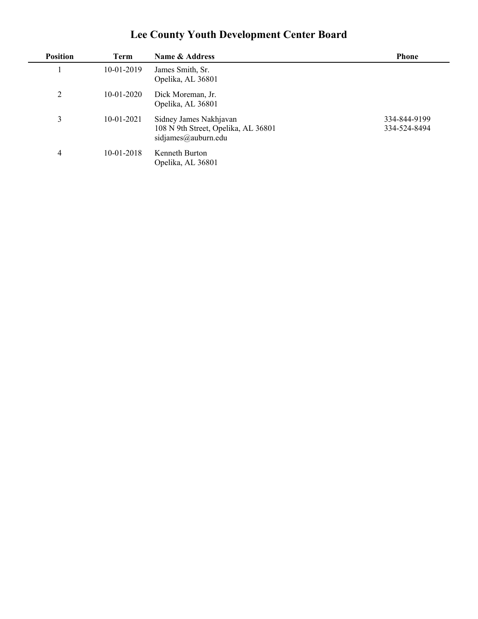## **Lee County Youth Development Center Board**

| <b>Position</b> | Term         | Name & Address                                                                       | <b>Phone</b>                 |
|-----------------|--------------|--------------------------------------------------------------------------------------|------------------------------|
|                 | $10-01-2019$ | James Smith, Sr.<br>Opelika, AL 36801                                                |                              |
| $\overline{2}$  | $10-01-2020$ | Dick Moreman, Jr.<br>Opelika, AL 36801                                               |                              |
| 3               | $10-01-2021$ | Sidney James Nakhjavan<br>108 N 9th Street, Opelika, AL 36801<br>sidjames@auburn.edu | 334-844-9199<br>334-524-8494 |
| 4               | 10-01-2018   | Kenneth Burton<br>Opelika, AL 36801                                                  |                              |